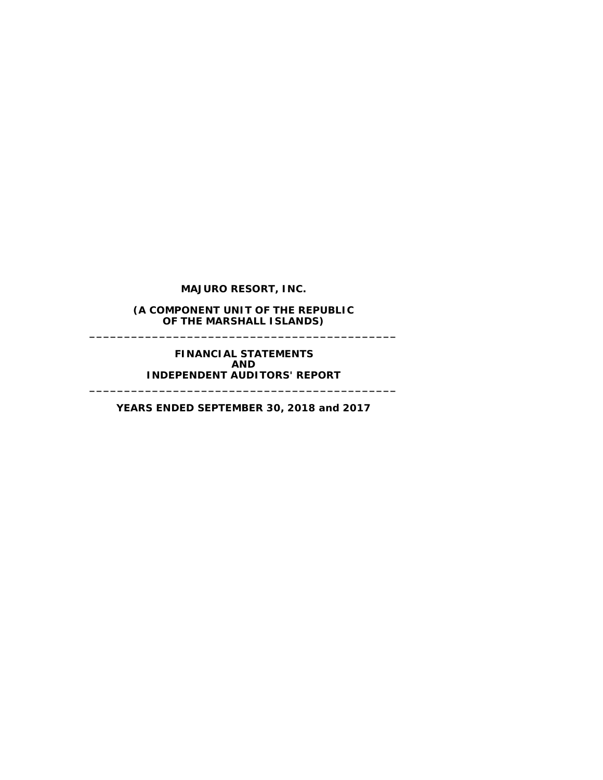**(A COMPONENT UNIT OF THE REPUBLIC OF THE MARSHALL ISLANDS) \_\_\_\_\_\_\_\_\_\_\_\_\_\_\_\_\_\_\_\_\_\_\_\_\_\_\_\_\_\_\_\_\_\_\_\_\_\_\_\_\_\_\_\_**

> **FINANCIAL STATEMENTS AND INDEPENDENT AUDITORS' REPORT**

**YEARS ENDED SEPTEMBER 30, 2018 and 2017**

**\_\_\_\_\_\_\_\_\_\_\_\_\_\_\_\_\_\_\_\_\_\_\_\_\_\_\_\_\_\_\_\_\_\_\_\_\_\_\_\_\_\_\_\_**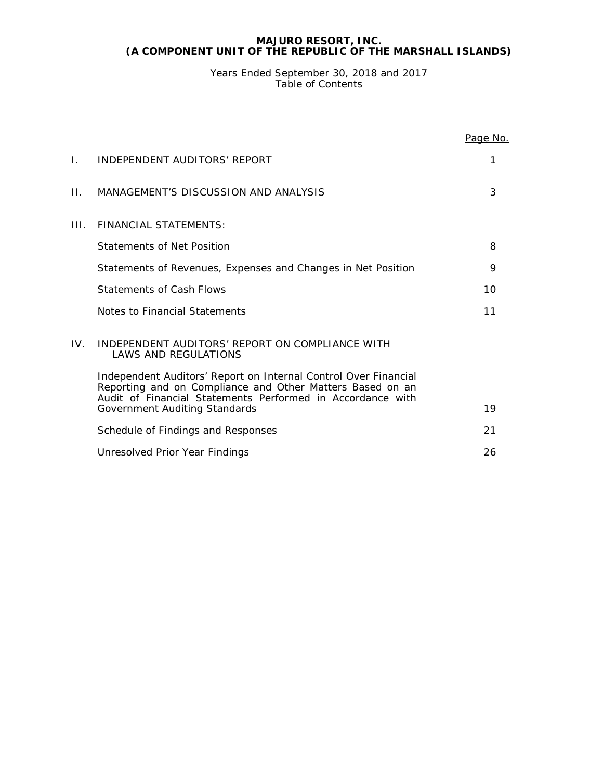Years Ended September 30, 2018 and 2017 Table of Contents

|     |                                                                                                                                                                                            | Page No. |
|-----|--------------------------------------------------------------------------------------------------------------------------------------------------------------------------------------------|----------|
| L.  | INDEPENDENT AUDITORS' REPORT                                                                                                                                                               | 1        |
| П.  | MANAGEMENT'S DISCUSSION AND ANALYSIS                                                                                                                                                       | 3        |
| HL. | FINANCIAL STATFMENTS:                                                                                                                                                                      |          |
|     | Statements of Net Position                                                                                                                                                                 | 8        |
|     | Statements of Revenues, Expenses and Changes in Net Position                                                                                                                               | 9        |
|     | <b>Statements of Cash Flows</b>                                                                                                                                                            | 10       |
|     | Notes to Financial Statements                                                                                                                                                              | 11       |
| IV. | INDEPENDENT AUDITORS' REPORT ON COMPLIANCE WITH<br><b>LAWS AND REGULATIONS</b>                                                                                                             |          |
|     | Independent Auditors' Report on Internal Control Over Financial<br>Reporting and on Compliance and Other Matters Based on an<br>Audit of Financial Statements Performed in Accordance with |          |
|     | Government Auditing Standards                                                                                                                                                              | 19       |
|     | Schedule of Findings and Responses                                                                                                                                                         | 21       |
|     | Unresolved Prior Year Findings                                                                                                                                                             | 26       |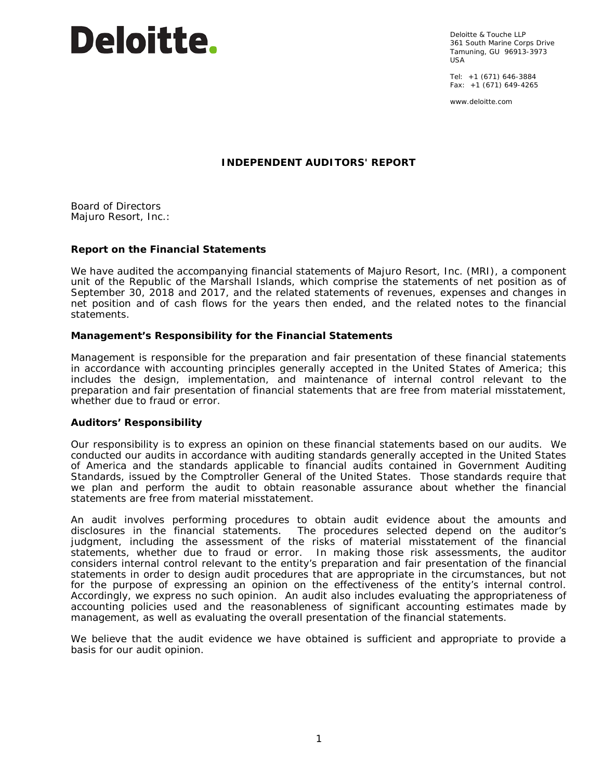# **Deloitte.**

Deloitte & Touche LLP 361 South Marine Corps Drive Tamuning, GU 96913-3973 USA

Tel: +1 (671) 646-3884 Fax: +1 (671) 649-4265

www.deloitte.com

# **INDEPENDENT AUDITORS' REPORT**

Board of Directors Majuro Resort, Inc.:

# **Report on the Financial Statements**

We have audited the accompanying financial statements of Majuro Resort, Inc. (MRI), a component unit of the Republic of the Marshall Islands, which comprise the statements of net position as of September 30, 2018 and 2017, and the related statements of revenues, expenses and changes in net position and of cash flows for the years then ended, and the related notes to the financial statements.

# *Management's Responsibility for the Financial Statements*

Management is responsible for the preparation and fair presentation of these financial statements in accordance with accounting principles generally accepted in the United States of America; this includes the design, implementation, and maintenance of internal control relevant to the preparation and fair presentation of financial statements that are free from material misstatement, whether due to fraud or error.

## *Auditors' Responsibility*

Our responsibility is to express an opinion on these financial statements based on our audits. We conducted our audits in accordance with auditing standards generally accepted in the United States of America and the standards applicable to financial audits contained in *Government Auditing Standards*, issued by the Comptroller General of the United States. Those standards require that we plan and perform the audit to obtain reasonable assurance about whether the financial statements are free from material misstatement.

An audit involves performing procedures to obtain audit evidence about the amounts and disclosures in the financial statements. The procedures selected depend on the auditor's judgment, including the assessment of the risks of material misstatement of the financial statements, whether due to fraud or error. In making those risk assessments, the auditor considers internal control relevant to the entity's preparation and fair presentation of the financial statements in order to design audit procedures that are appropriate in the circumstances, but not for the purpose of expressing an opinion on the effectiveness of the entity's internal control. Accordingly, we express no such opinion. An audit also includes evaluating the appropriateness of accounting policies used and the reasonableness of significant accounting estimates made by management, as well as evaluating the overall presentation of the financial statements.

We believe that the audit evidence we have obtained is sufficient and appropriate to provide a basis for our audit opinion.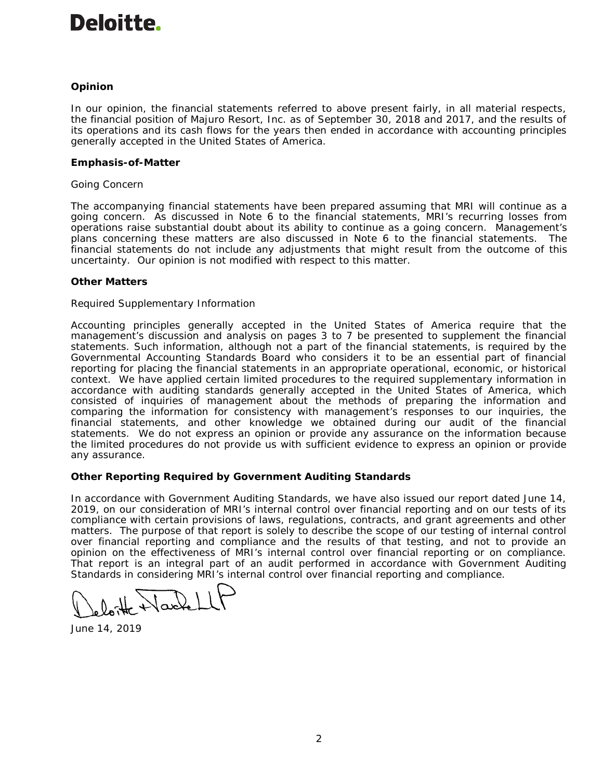# **Deloitte.**

# *Opinion*

In our opinion, the financial statements referred to above present fairly, in all material respects, the financial position of Majuro Resort, Inc. as of September 30, 2018 and 2017, and the results of its operations and its cash flows for the years then ended in accordance with accounting principles generally accepted in the United States of America.

# *Emphasis-of-Matter*

# *Going Concern*

The accompanying financial statements have been prepared assuming that MRI will continue as a going concern. As discussed in Note 6 to the financial statements, MRI's recurring losses from operations raise substantial doubt about its ability to continue as a going concern. Management's plans concerning these matters are also discussed in Note 6 to the financial statements. The financial statements do not include any adjustments that might result from the outcome of this uncertainty. Our opinion is not modified with respect to this matter.

# *Other Matters*

# *Required Supplementary Information*

Accounting principles generally accepted in the United States of America require that the management's discussion and analysis on pages 3 to 7 be presented to supplement the financial statements. Such information, although not a part of the financial statements, is required by the Governmental Accounting Standards Board who considers it to be an essential part of financial reporting for placing the financial statements in an appropriate operational, economic, or historical context. We have applied certain limited procedures to the required supplementary information in accordance with auditing standards generally accepted in the United States of America, which consisted of inquiries of management about the methods of preparing the information and comparing the information for consistency with management's responses to our inquiries, the financial statements, and other knowledge we obtained during our audit of the financial statements. We do not express an opinion or provide any assurance on the information because the limited procedures do not provide us with sufficient evidence to express an opinion or provide any assurance.

# **Other Reporting Required by** *Government Auditing Standards*

In accordance with *Government Auditing Standards*, we have also issued our report dated June 14, 2019, on our consideration of MRI's internal control over financial reporting and on our tests of its compliance with certain provisions of laws, regulations, contracts, and grant agreements and other matters. The purpose of that report is solely to describe the scope of our testing of internal control over financial reporting and compliance and the results of that testing, and not to provide an opinion on the effectiveness of MRI's internal control over financial reporting or on compliance. That report is an integral part of an audit performed in accordance with *Government Auditing Standards* in considering MRI's internal control over financial reporting and compliance.

June 14, 2019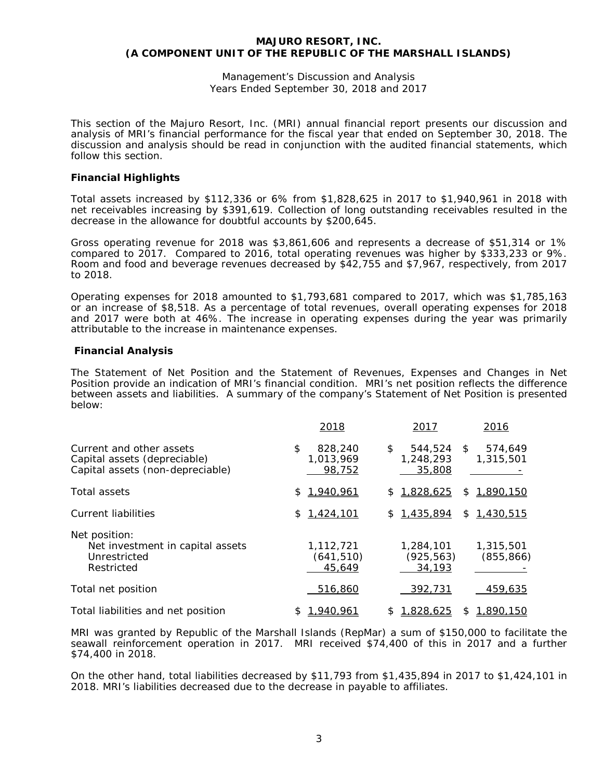Management's Discussion and Analysis Years Ended September 30, 2018 and 2017

This section of the Majuro Resort, Inc. (MRI) annual financial report presents our discussion and analysis of MRI's financial performance for the fiscal year that ended on September 30, 2018. The discussion and analysis should be read in conjunction with the audited financial statements, which follow this section.

# **Financial Highlights**

Total assets increased by \$112,336 or 6% from \$1,828,625 in 2017 to \$1,940,961 in 2018 with net receivables increasing by \$391,619. Collection of long outstanding receivables resulted in the decrease in the allowance for doubtful accounts by \$200,645.

Gross operating revenue for 2018 was \$3,861,606 and represents a decrease of \$51,314 or 1% compared to 2017. Compared to 2016, total operating revenues was higher by \$333,233 or 9%. Room and food and beverage revenues decreased by \$42,755 and \$7,967, respectively, from 2017 to 2018.

Operating expenses for 2018 amounted to \$1,793,681 compared to 2017, which was \$1,785,163 or an increase of \$8,518. As a percentage of total revenues, overall operating expenses for 2018 and 2017 were both at 46%. The increase in operating expenses during the year was primarily attributable to the increase in maintenance expenses.

# **Financial Analysis**

The Statement of Net Position and the Statement of Revenues, Expenses and Changes in Net Position provide an indication of MRI's financial condition. MRI's net position reflects the difference between assets and liabilities. A summary of the company's Statement of Net Position is presented below:

|                                                                                              | 2018                                 | 2017                                 | 2016                       |
|----------------------------------------------------------------------------------------------|--------------------------------------|--------------------------------------|----------------------------|
| Current and other assets<br>Capital assets (depreciable)<br>Capital assets (non-depreciable) | \$<br>828,240<br>1.013.969<br>98,752 | \$<br>544,524<br>1,248,293<br>35,808 | 574,649<br>\$<br>1,315,501 |
| Total assets                                                                                 | 1,940,961<br>\$                      | 1,828,625<br>S.                      | 1,890,150<br>S             |
| Current liabilities                                                                          | 1,424,101<br>S.                      | 1,435,894<br>S.                      | 1,430,515<br>\$            |
| Net position:<br>Net investment in capital assets<br>Unrestricted<br>Restricted              | 1,112,721<br>(641, 510)<br>45,649    | 1,284,101<br>(925, 563)<br>34,193    | 1,315,501<br>(855, 866)    |
| Total net position                                                                           | 516,860                              | 392,731                              | 459,635                    |
| Total liabilities and net position                                                           | 1,940,961<br>£                       | 1,828,625<br>S                       | 1,890,150<br>S.            |

MRI was granted by Republic of the Marshall Islands (RepMar) a sum of \$150,000 to facilitate the seawall reinforcement operation in 2017. MRI received \$74,400 of this in 2017 and a further \$74,400 in 2018.

On the other hand, total liabilities decreased by \$11,793 from \$1,435,894 in 2017 to \$1,424,101 in 2018. MRI's liabilities decreased due to the decrease in payable to affiliates.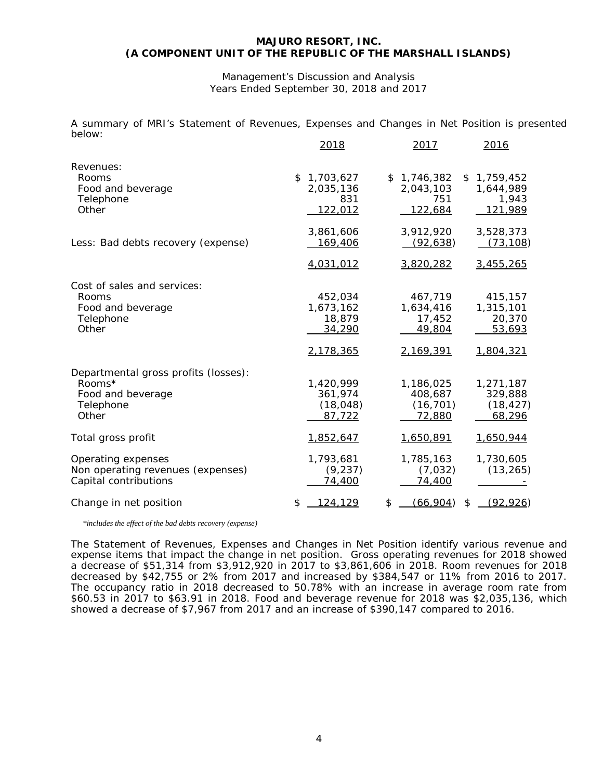#### Management's Discussion and Analysis Years Ended September 30, 2018 and 2017

A summary of MRI's Statement of Revenues, Expenses and Changes in Net Position is presented below:

|                                                                                           | <u>2018</u>                                                | <u> 2017</u>                                             | <u>2016</u>                                              |
|-------------------------------------------------------------------------------------------|------------------------------------------------------------|----------------------------------------------------------|----------------------------------------------------------|
| Revenues:<br>Rooms<br>Food and beverage<br>Telephone<br>Other                             | $\mathfrak{L}$<br>1,703,627<br>2,035,136<br>831<br>122,012 | \$1,746,382<br>2,043,103<br>751<br>122,684               | \$<br>1,759,452<br>1,644,989<br>1,943<br>121,989         |
| Less: Bad debts recovery (expense)                                                        | 3,861,606<br><u>169,406</u><br>4,031,012                   | 3,912,920<br>(92, 638)<br>3,820,282                      | 3,528,373<br>(73, 108)<br>3,455,265                      |
| Cost of sales and services:<br>Rooms<br>Food and beverage<br>Telephone<br>Other           | 452,034<br>1,673,162<br>18,879<br>34,290                   | 467,719<br>1,634,416<br>17,452<br>49,804                 | 415,157<br>1,315,101<br>20,370<br>53,693                 |
| Departmental gross profits (losses):<br>Rooms*<br>Food and beverage<br>Telephone<br>Other | 2,178,365<br>1,420,999<br>361,974<br>(18, 048)<br>87,722   | 2,169,391<br>1,186,025<br>408,687<br>(16, 701)<br>72,880 | 1,804,321<br>1,271,187<br>329,888<br>(18, 427)<br>68,296 |
| Total gross profit                                                                        | 1,852,647                                                  | 1,650,891                                                | 1,650,944                                                |
| Operating expenses<br>Non operating revenues (expenses)<br>Capital contributions          | 1,793,681<br>(9, 237)<br>74,400                            | 1,785,163<br>(7,032)<br>74,400                           | 1,730,605<br>(13, 265)                                   |
| Change in net position                                                                    | \$<br><u>124,129</u>                                       | \$<br>(66, 904)                                          | \$<br><u>(92,926)</u>                                    |

 *\*includes the effect of the bad debts recovery (expense)*

The Statement of Revenues, Expenses and Changes in Net Position identify various revenue and expense items that impact the change in net position. Gross operating revenues for 2018 showed a decrease of \$51,314 from \$3,912,920 in 2017 to \$3,861,606 in 2018. Room revenues for 2018 decreased by \$42,755 or 2% from 2017 and increased by \$384,547 or 11% from 2016 to 2017. The occupancy ratio in 2018 decreased to 50.78% with an increase in average room rate from \$60.53 in 2017 to \$63.91 in 2018. Food and beverage revenue for 2018 was \$2,035,136, which showed a decrease of \$7,967 from 2017 and an increase of \$390,147 compared to 2016.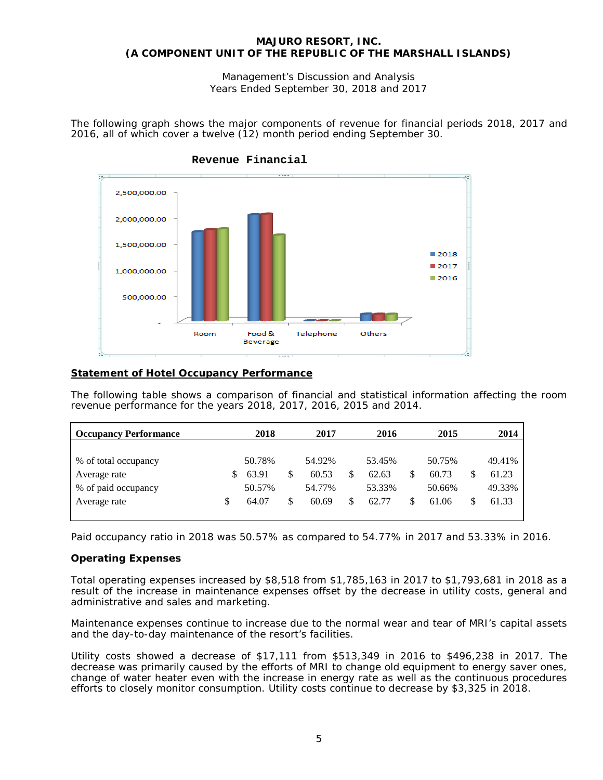Management's Discussion and Analysis Years Ended September 30, 2018 and 2017

The following graph shows the major components of revenue for financial periods 2018, 2017 and 2016, all of which cover a twelve (12) month period ending September 30.



# **Revenue Financial**

# **Statement of Hotel Occupancy Performance**

The following table shows a comparison of financial and statistical information affecting the room revenue performance for the years 2018, 2017, 2016, 2015 and 2014.

| <b>Occupancy Performance</b> |    | 2018   | 2017        | 2016        |   | 2015   |   | 2014   |
|------------------------------|----|--------|-------------|-------------|---|--------|---|--------|
|                              |    |        |             |             |   |        |   |        |
| % of total occupancy         |    | 50.78% | 54.92%      | 53.45%      |   | 50.75% |   | 49.41% |
| Average rate                 | S. | 63.91  | \$<br>60.53 | \$<br>62.63 | S | 60.73  | S | 61.23  |
| % of paid occupancy          |    | 50.57% | 54.77%      | 53.33%      |   | 50.66% |   | 49.33% |
| Average rate                 | S  | 64.07  | \$<br>60.69 | \$<br>62.77 | S | 61.06  | S | 61.33  |

Paid occupancy ratio in 2018 was 50.57% as compared to 54.77% in 2017 and 53.33% in 2016.

# **Operating Expenses**

Total operating expenses increased by \$8,518 from \$1,785,163 in 2017 to \$1,793,681 in 2018 as a result of the increase in maintenance expenses offset by the decrease in utility costs, general and administrative and sales and marketing.

Maintenance expenses continue to increase due to the normal wear and tear of MRI's capital assets and the day-to-day maintenance of the resort's facilities.

Utility costs showed a decrease of \$17,111 from \$513,349 in 2016 to \$496,238 in 2017. The decrease was primarily caused by the efforts of MRI to change old equipment to energy saver ones, change of water heater even with the increase in energy rate as well as the continuous procedures efforts to closely monitor consumption. Utility costs continue to decrease by \$3,325 in 2018.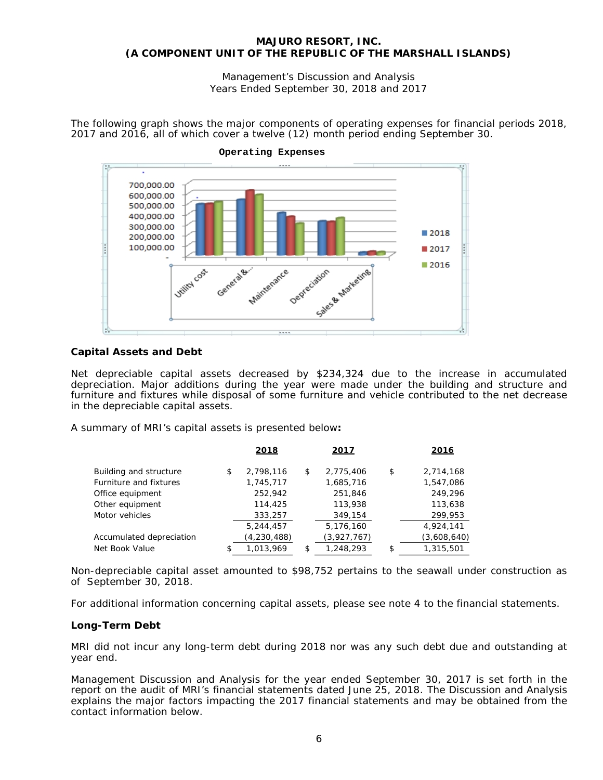Management's Discussion and Analysis Years Ended September 30, 2018 and 2017

The following graph shows the major components of operating expenses for financial periods 2018, 2017 and 2016, all of which cover a twelve (12) month period ending September 30.





# **Capital Assets and Debt**

Net depreciable capital assets decreased by \$234,324 due to the increase in accumulated depreciation. Major additions during the year were made under the building and structure and furniture and fixtures while disposal of some furniture and vehicle contributed to the net decrease in the depreciable capital assets.

A summary of MRI's capital assets is presented below**:**

|                          |    | <u> 2018 </u> | <u> 2017 </u>   | 2016            |
|--------------------------|----|---------------|-----------------|-----------------|
| Building and structure   | \$ | 2,798,116     | \$<br>2,775,406 | \$<br>2,714,168 |
| Furniture and fixtures   |    | 1,745,717     | 1,685,716       | 1,547,086       |
| Office equipment         |    | 252,942       | 251,846         | 249,296         |
| Other equipment          |    | 114,425       | 113,938         | 113,638         |
| Motor vehicles           |    | 333,257       | 349,154         | 299,953         |
|                          |    | 5,244,457     | 5,176,160       | 4,924,141       |
| Accumulated depreciation |    | (4, 230, 488) | (3,927,767)     | (3,608,640)     |
| Net Book Value           | £. | 1,013,969     | \$<br>1,248,293 | \$<br>1,315,501 |

Non-depreciable capital asset amounted to \$98,752 pertains to the seawall under construction as of September 30, 2018.

For additional information concerning capital assets, please see note 4 to the financial statements.

# **Long-Term Debt**

MRI did not incur any long-term debt during 2018 nor was any such debt due and outstanding at year end.

Management Discussion and Analysis for the year ended September 30, 2017 is set forth in the report on the audit of MRI's financial statements dated June 25, 2018. The Discussion and Analysis explains the major factors impacting the 2017 financial statements and may be obtained from the contact information below.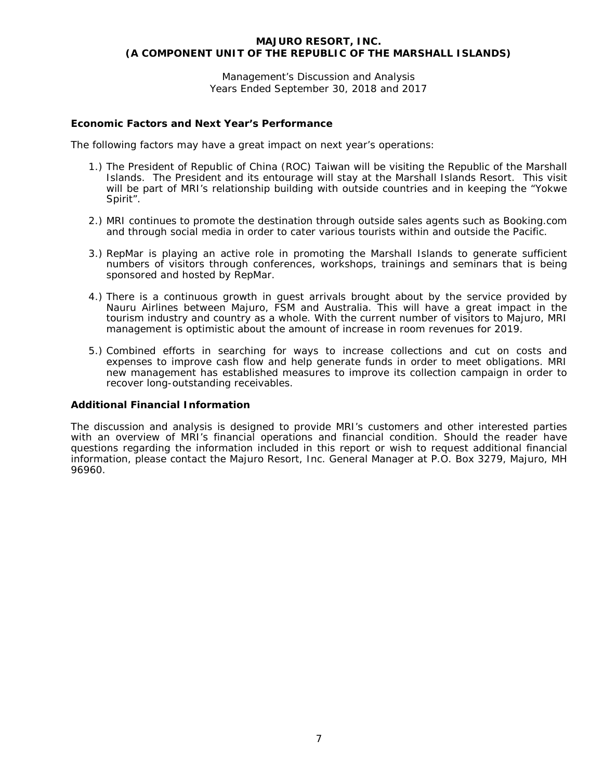Management's Discussion and Analysis Years Ended September 30, 2018 and 2017

# **Economic Factors and Next Year's Performance**

The following factors may have a great impact on next year's operations:

- 1.) The President of Republic of China (ROC) Taiwan will be visiting the Republic of the Marshall Islands. The President and its entourage will stay at the Marshall Islands Resort. This visit will be part of MRI's relationship building with outside countries and in keeping the "Yokwe Spirit".
- 2.) MRI continues to promote the destination through outside sales agents such as Booking.com and through social media in order to cater various tourists within and outside the Pacific.
- 3.) RepMar is playing an active role in promoting the Marshall Islands to generate sufficient numbers of visitors through conferences, workshops, trainings and seminars that is being sponsored and hosted by RepMar.
- 4.) There is a continuous growth in guest arrivals brought about by the service provided by Nauru Airlines between Majuro, FSM and Australia. This will have a great impact in the tourism industry and country as a whole. With the current number of visitors to Majuro, MRI management is optimistic about the amount of increase in room revenues for 2019.
- 5.) Combined efforts in searching for ways to increase collections and cut on costs and expenses to improve cash flow and help generate funds in order to meet obligations. MRI new management has established measures to improve its collection campaign in order to recover long-outstanding receivables.

## **Additional Financial Information**

The discussion and analysis is designed to provide MRI's customers and other interested parties with an overview of MRI's financial operations and financial condition. Should the reader have questions regarding the information included in this report or wish to request additional financial information, please contact the Majuro Resort, Inc. General Manager at P.O. Box 3279, Majuro, MH 96960.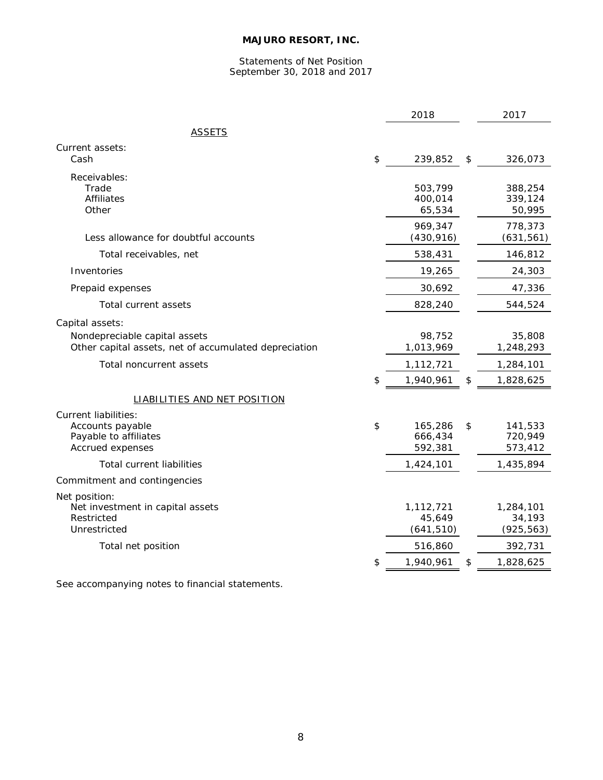# Statements of Net Position September 30, 2018 and 2017

|                                                                                        | 2018                                | 2017                                |
|----------------------------------------------------------------------------------------|-------------------------------------|-------------------------------------|
| <u>ASSETS</u>                                                                          |                                     |                                     |
| Current assets:                                                                        |                                     |                                     |
| Cash                                                                                   | \$<br>239,852                       | \$<br>326,073                       |
| Receivables:<br>Trade<br><b>Affiliates</b><br>Other                                    | 503,799<br>400,014<br>65,534        | 388,254<br>339,124<br>50,995        |
| Less allowance for doubtful accounts                                                   | 969,347<br>(430, 916)               | 778,373<br>(631, 561)               |
| Total receivables, net                                                                 | 538,431                             | 146,812                             |
| Inventories                                                                            | 19,265                              | 24,303                              |
| Prepaid expenses                                                                       | 30,692                              | 47,336                              |
| Total current assets                                                                   | 828,240                             | 544,524                             |
| Capital assets:                                                                        |                                     |                                     |
| Nondepreciable capital assets<br>Other capital assets, net of accumulated depreciation | 98,752<br>1,013,969                 | 35,808<br>1,248,293                 |
| Total noncurrent assets                                                                | 1,112,721                           | 1,284,101                           |
|                                                                                        | \$<br>1,940,961                     | \$<br>1,828,625                     |
| <b>LIABILITIES AND NET POSITION</b>                                                    |                                     |                                     |
| Current liabilities:<br>Accounts payable<br>Payable to affiliates<br>Accrued expenses  | \$<br>165,286<br>666,434<br>592,381 | \$<br>141,533<br>720,949<br>573,412 |
| <b>Total current liabilities</b>                                                       | 1,424,101                           | 1,435,894                           |
| Commitment and contingencies                                                           |                                     |                                     |
| Net position:<br>Net investment in capital assets<br>Restricted<br>Unrestricted        | 1,112,721<br>45,649<br>(641, 510)   | 1,284,101<br>34,193<br>(925, 563)   |
| Total net position                                                                     | 516,860                             | 392,731                             |
|                                                                                        | \$<br>1,940,961                     | \$<br>1,828,625                     |

See accompanying notes to financial statements.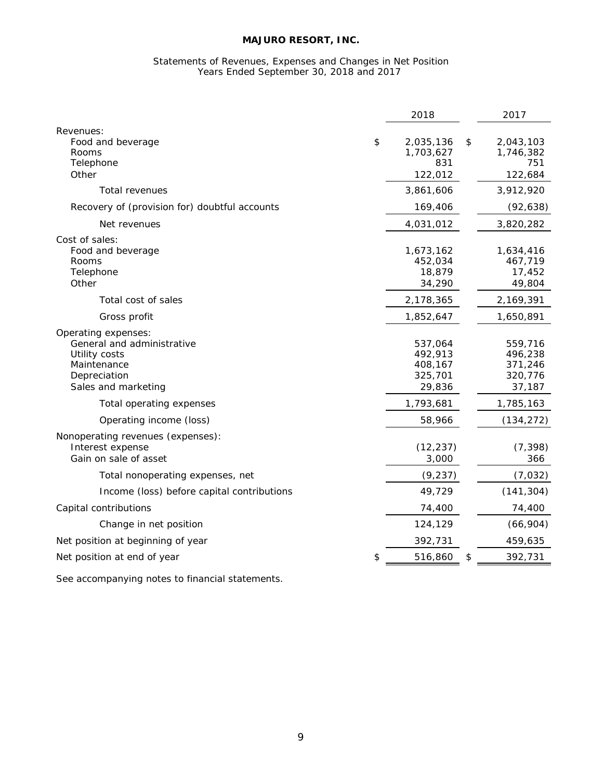#### Statements of Revenues, Expenses and Changes in Net Position Years Ended September 30, 2018 and 2017

| Revenues:<br>\$<br>\$<br>Food and beverage<br>2,035,136<br>2,043,103<br>1,703,627<br>Rooms<br>1,746,382<br>831<br>751<br>Telephone<br>Other<br>122,012<br>122,684<br>3,861,606<br>3,912,920<br>Total revenues<br>Recovery of (provision for) doubtful accounts<br>169,406<br>(92, 638)<br>3,820,282<br>Net revenues<br>4,031,012<br>Cost of sales:<br>Food and beverage<br>1,673,162<br>1,634,416<br>452,034<br>467,719<br>Rooms<br>Telephone<br>18,879<br>17,452<br>Other<br>34,290<br>49,804<br>2,169,391<br>Total cost of sales<br>2,178,365<br>Gross profit<br>1,852,647<br>1,650,891<br>Operating expenses:<br>General and administrative<br>537,064<br>559,716<br>492,913<br>Utility costs<br>496,238<br>Maintenance<br>408,167<br>371,246<br>Depreciation<br>325,701<br>320,776<br>Sales and marketing<br>29,836<br>37,187<br>1,793,681<br>1,785,163<br>Total operating expenses<br>Operating income (loss)<br>58,966<br>(134, 272)<br>Nonoperating revenues (expenses):<br>Interest expense<br>(12, 237)<br>(7, 398)<br>Gain on sale of asset<br>3,000<br>366<br>(7,032)<br>Total nonoperating expenses, net<br>(9, 237)<br>(141, 304)<br>49,729<br>Income (loss) before capital contributions<br>Capital contributions<br>74,400<br>74,400<br>124,129<br>(66, 904)<br>Change in net position<br>Net position at beginning of year<br>392,731<br>459,635<br>Net position at end of year<br>\$<br>\$<br>392,731<br>516,860 |  | 2018 | 2017 |
|-----------------------------------------------------------------------------------------------------------------------------------------------------------------------------------------------------------------------------------------------------------------------------------------------------------------------------------------------------------------------------------------------------------------------------------------------------------------------------------------------------------------------------------------------------------------------------------------------------------------------------------------------------------------------------------------------------------------------------------------------------------------------------------------------------------------------------------------------------------------------------------------------------------------------------------------------------------------------------------------------------------------------------------------------------------------------------------------------------------------------------------------------------------------------------------------------------------------------------------------------------------------------------------------------------------------------------------------------------------------------------------------------------------------------------------|--|------|------|
|                                                                                                                                                                                                                                                                                                                                                                                                                                                                                                                                                                                                                                                                                                                                                                                                                                                                                                                                                                                                                                                                                                                                                                                                                                                                                                                                                                                                                                   |  |      |      |
|                                                                                                                                                                                                                                                                                                                                                                                                                                                                                                                                                                                                                                                                                                                                                                                                                                                                                                                                                                                                                                                                                                                                                                                                                                                                                                                                                                                                                                   |  |      |      |
|                                                                                                                                                                                                                                                                                                                                                                                                                                                                                                                                                                                                                                                                                                                                                                                                                                                                                                                                                                                                                                                                                                                                                                                                                                                                                                                                                                                                                                   |  |      |      |
|                                                                                                                                                                                                                                                                                                                                                                                                                                                                                                                                                                                                                                                                                                                                                                                                                                                                                                                                                                                                                                                                                                                                                                                                                                                                                                                                                                                                                                   |  |      |      |
|                                                                                                                                                                                                                                                                                                                                                                                                                                                                                                                                                                                                                                                                                                                                                                                                                                                                                                                                                                                                                                                                                                                                                                                                                                                                                                                                                                                                                                   |  |      |      |
|                                                                                                                                                                                                                                                                                                                                                                                                                                                                                                                                                                                                                                                                                                                                                                                                                                                                                                                                                                                                                                                                                                                                                                                                                                                                                                                                                                                                                                   |  |      |      |
|                                                                                                                                                                                                                                                                                                                                                                                                                                                                                                                                                                                                                                                                                                                                                                                                                                                                                                                                                                                                                                                                                                                                                                                                                                                                                                                                                                                                                                   |  |      |      |
|                                                                                                                                                                                                                                                                                                                                                                                                                                                                                                                                                                                                                                                                                                                                                                                                                                                                                                                                                                                                                                                                                                                                                                                                                                                                                                                                                                                                                                   |  |      |      |
|                                                                                                                                                                                                                                                                                                                                                                                                                                                                                                                                                                                                                                                                                                                                                                                                                                                                                                                                                                                                                                                                                                                                                                                                                                                                                                                                                                                                                                   |  |      |      |
|                                                                                                                                                                                                                                                                                                                                                                                                                                                                                                                                                                                                                                                                                                                                                                                                                                                                                                                                                                                                                                                                                                                                                                                                                                                                                                                                                                                                                                   |  |      |      |
|                                                                                                                                                                                                                                                                                                                                                                                                                                                                                                                                                                                                                                                                                                                                                                                                                                                                                                                                                                                                                                                                                                                                                                                                                                                                                                                                                                                                                                   |  |      |      |
|                                                                                                                                                                                                                                                                                                                                                                                                                                                                                                                                                                                                                                                                                                                                                                                                                                                                                                                                                                                                                                                                                                                                                                                                                                                                                                                                                                                                                                   |  |      |      |
|                                                                                                                                                                                                                                                                                                                                                                                                                                                                                                                                                                                                                                                                                                                                                                                                                                                                                                                                                                                                                                                                                                                                                                                                                                                                                                                                                                                                                                   |  |      |      |
|                                                                                                                                                                                                                                                                                                                                                                                                                                                                                                                                                                                                                                                                                                                                                                                                                                                                                                                                                                                                                                                                                                                                                                                                                                                                                                                                                                                                                                   |  |      |      |
|                                                                                                                                                                                                                                                                                                                                                                                                                                                                                                                                                                                                                                                                                                                                                                                                                                                                                                                                                                                                                                                                                                                                                                                                                                                                                                                                                                                                                                   |  |      |      |
|                                                                                                                                                                                                                                                                                                                                                                                                                                                                                                                                                                                                                                                                                                                                                                                                                                                                                                                                                                                                                                                                                                                                                                                                                                                                                                                                                                                                                                   |  |      |      |
|                                                                                                                                                                                                                                                                                                                                                                                                                                                                                                                                                                                                                                                                                                                                                                                                                                                                                                                                                                                                                                                                                                                                                                                                                                                                                                                                                                                                                                   |  |      |      |
|                                                                                                                                                                                                                                                                                                                                                                                                                                                                                                                                                                                                                                                                                                                                                                                                                                                                                                                                                                                                                                                                                                                                                                                                                                                                                                                                                                                                                                   |  |      |      |

See accompanying notes to financial statements.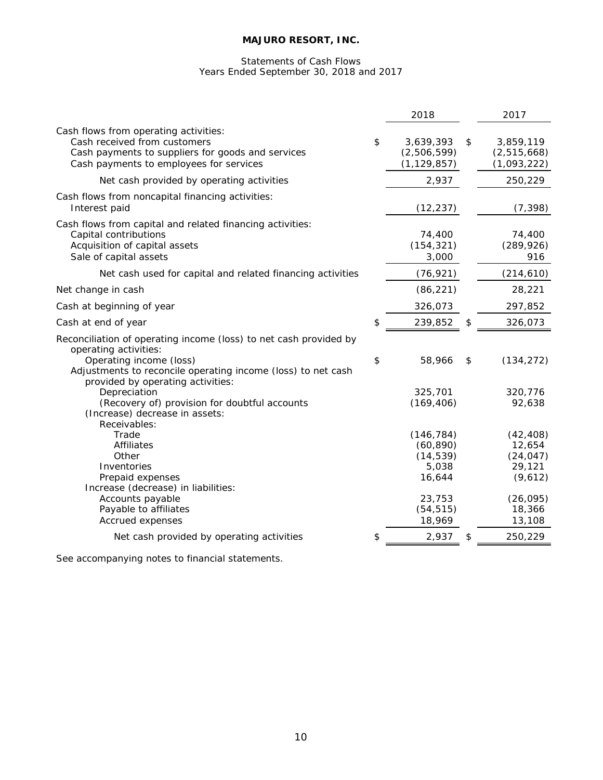# Statements of Cash Flows Years Ended September 30, 2018 and 2017

|                                                                                                                                                                                       | 2018                                                    | 2017                                                  |
|---------------------------------------------------------------------------------------------------------------------------------------------------------------------------------------|---------------------------------------------------------|-------------------------------------------------------|
| Cash flows from operating activities:<br>Cash received from customers<br>Cash payments to suppliers for goods and services<br>Cash payments to employees for services                 | \$<br>3,639,393<br>(2,506,599)<br>(1, 129, 857)         | \$<br>3,859,119<br>(2,515,668)<br>(1,093,222)         |
| Net cash provided by operating activities                                                                                                                                             | 2,937                                                   | 250,229                                               |
| Cash flows from noncapital financing activities:<br>Interest paid                                                                                                                     | (12, 237)                                               | (7, 398)                                              |
| Cash flows from capital and related financing activities:<br>Capital contributions<br>Acquisition of capital assets<br>Sale of capital assets                                         | 74,400<br>(154, 321)<br>3,000                           | 74,400<br>(289, 926)<br>916                           |
| Net cash used for capital and related financing activities                                                                                                                            | (76, 921)                                               | (214, 610)                                            |
| Net change in cash                                                                                                                                                                    | (86, 221)                                               | 28,221                                                |
| Cash at beginning of year                                                                                                                                                             | 326,073                                                 | 297,852                                               |
| Cash at end of year                                                                                                                                                                   | \$<br>239,852                                           | \$<br>326,073                                         |
| Reconciliation of operating income (loss) to net cash provided by<br>operating activities:<br>Operating income (loss)<br>Adjustments to reconcile operating income (loss) to net cash | \$<br>58,966                                            | \$<br>(134, 272)                                      |
| provided by operating activities:<br>Depreciation<br>(Recovery of) provision for doubtful accounts<br>(Increase) decrease in assets:<br>Receivables:                                  | 325,701<br>(169, 406)                                   | 320,776<br>92,638                                     |
| Trade<br><b>Affiliates</b><br>Other<br>Inventories<br>Prepaid expenses                                                                                                                | (146, 784)<br>(60, 890)<br>(14, 539)<br>5,038<br>16,644 | (42, 408)<br>12,654<br>(24, 047)<br>29,121<br>(9,612) |
| Increase (decrease) in liabilities:<br>Accounts payable<br>Payable to affiliates<br><b>Accrued expenses</b>                                                                           | 23,753<br>(54, 515)<br>18,969                           | (26, 095)<br>18,366<br>13,108                         |
| Net cash provided by operating activities                                                                                                                                             | \$<br>2,937                                             | \$<br>250,229                                         |
|                                                                                                                                                                                       |                                                         |                                                       |

See accompanying notes to financial statements.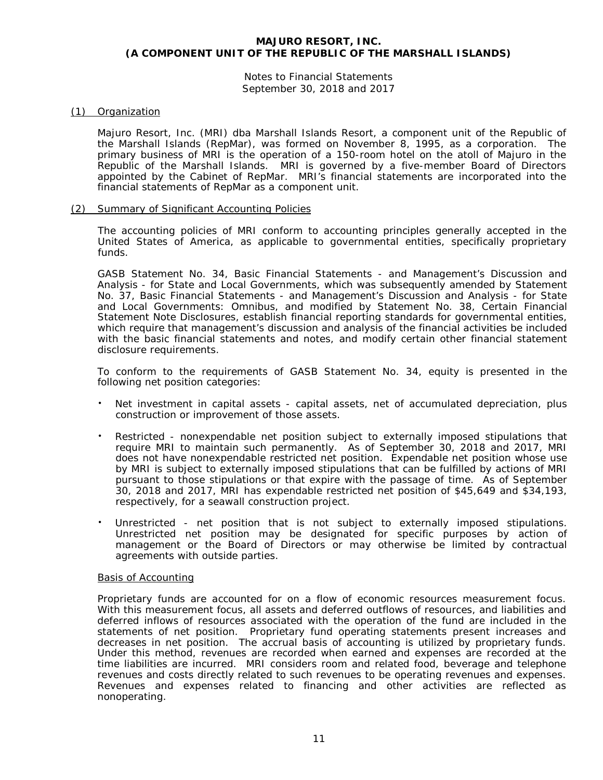Notes to Financial Statements September 30, 2018 and 2017

# (1) Organization

Majuro Resort, Inc. (MRI) dba Marshall Islands Resort, a component unit of the Republic of the Marshall Islands (RepMar), was formed on November 8, 1995, as a corporation. The primary business of MRI is the operation of a 150-room hotel on the atoll of Majuro in the Republic of the Marshall Islands. MRI is governed by a five-member Board of Directors appointed by the Cabinet of RepMar. MRI's financial statements are incorporated into the financial statements of RepMar as a component unit.

## (2) Summary of Significant Accounting Policies

The accounting policies of MRI conform to accounting principles generally accepted in the United States of America, as applicable to governmental entities, specifically proprietary funds.

GASB Statement No. 34, *Basic Financial Statements - and Management's Discussion and Analysis - for State and Local Governments*, which was subsequently amended by Statement No. 37, *Basic Financial Statements - and Management's Discussion and Analysis - for State and Local Governments: Omnibus*, and modified by Statement No. 38, *Certain Financial Statement Note Disclosures,* establish financial reporting standards for governmental entities, which require that management's discussion and analysis of the financial activities be included with the basic financial statements and notes, and modify certain other financial statement disclosure requirements.

To conform to the requirements of GASB Statement No. 34, equity is presented in the following net position categories:

- Net investment in capital assets capital assets, net of accumulated depreciation, plus construction or improvement of those assets.
- Restricted nonexpendable net position subject to externally imposed stipulations that require MRI to maintain such permanently. As of September 30, 2018 and 2017, MRI does not have nonexpendable restricted net position. Expendable net position whose use by MRI is subject to externally imposed stipulations that can be fulfilled by actions of MRI pursuant to those stipulations or that expire with the passage of time. As of September 30, 2018 and 2017, MRI has expendable restricted net position of \$45,649 and \$34,193, respectively, for a seawall construction project.
- Unrestricted net position that is not subject to externally imposed stipulations. Unrestricted net position may be designated for specific purposes by action of management or the Board of Directors or may otherwise be limited by contractual agreements with outside parties.

## Basis of Accounting

Proprietary funds are accounted for on a flow of economic resources measurement focus. With this measurement focus, all assets and deferred outflows of resources, and liabilities and deferred inflows of resources associated with the operation of the fund are included in the statements of net position. Proprietary fund operating statements present increases and decreases in net position. The accrual basis of accounting is utilized by proprietary funds. Under this method, revenues are recorded when earned and expenses are recorded at the time liabilities are incurred. MRI considers room and related food, beverage and telephone revenues and costs directly related to such revenues to be operating revenues and expenses. Revenues and expenses related to financing and other activities are reflected as nonoperating.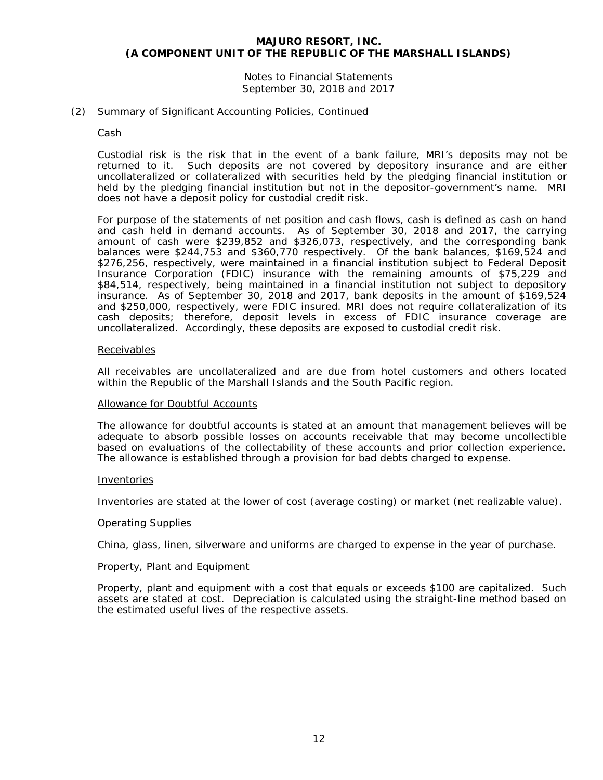# Notes to Financial Statements September 30, 2018 and 2017

#### (2) Summary of Significant Accounting Policies, Continued

#### Cash

Custodial risk is the risk that in the event of a bank failure, MRI's deposits may not be returned to it. Such deposits are not covered by depository insurance and are either uncollateralized or collateralized with securities held by the pledging financial institution or held by the pledging financial institution but not in the depositor-government's name. MRI does not have a deposit policy for custodial credit risk.

For purpose of the statements of net position and cash flows, cash is defined as cash on hand and cash held in demand accounts. As of September 30, 2018 and 2017, the carrying amount of cash were \$239,852 and \$326,073, respectively, and the corresponding bank balances were \$244,753 and \$360,770 respectively. Of the bank balances, \$169,524 and \$276,256, respectively, were maintained in a financial institution subject to Federal Deposit Insurance Corporation (FDIC) insurance with the remaining amounts of \$75,229 and \$84,514, respectively, being maintained in a financial institution not subject to depository insurance. As of September 30, 2018 and 2017, bank deposits in the amount of \$169,524 and \$250,000, respectively, were FDIC insured. MRI does not require collateralization of its cash deposits; therefore, deposit levels in excess of FDIC insurance coverage are uncollateralized. Accordingly, these deposits are exposed to custodial credit risk.

#### Receivables

All receivables are uncollateralized and are due from hotel customers and others located within the Republic of the Marshall Islands and the South Pacific region.

#### Allowance for Doubtful Accounts

The allowance for doubtful accounts is stated at an amount that management believes will be adequate to absorb possible losses on accounts receivable that may become uncollectible based on evaluations of the collectability of these accounts and prior collection experience. The allowance is established through a provision for bad debts charged to expense.

#### Inventories

Inventories are stated at the lower of cost (average costing) or market (net realizable value).

#### Operating Supplies

China, glass, linen, silverware and uniforms are charged to expense in the year of purchase.

#### Property, Plant and Equipment

Property, plant and equipment with a cost that equals or exceeds \$100 are capitalized. Such assets are stated at cost. Depreciation is calculated using the straight-line method based on the estimated useful lives of the respective assets.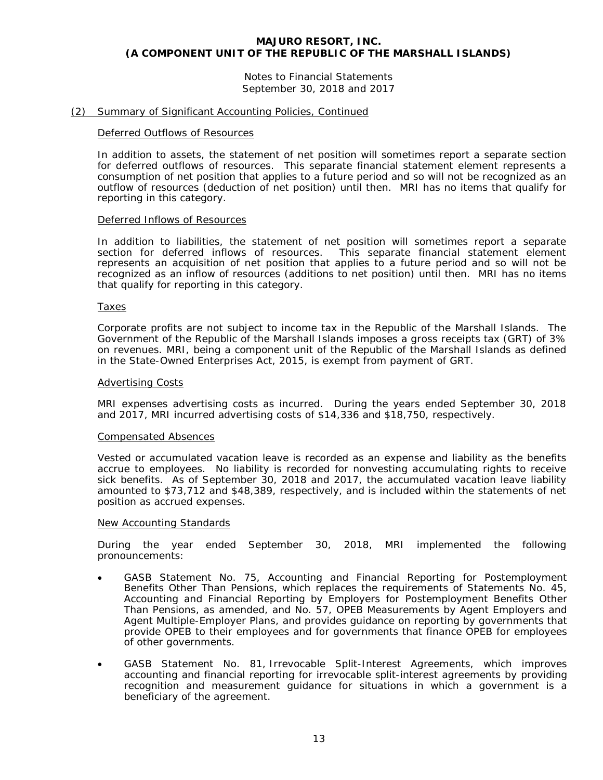Notes to Financial Statements September 30, 2018 and 2017

#### (2) Summary of Significant Accounting Policies, Continued

#### Deferred Outflows of Resources

In addition to assets, the statement of net position will sometimes report a separate section for deferred outflows of resources. This separate financial statement element represents a consumption of net position that applies to a future period and so will not be recognized as an outflow of resources (deduction of net position) until then. MRI has no items that qualify for reporting in this category.

#### Deferred Inflows of Resources

In addition to liabilities, the statement of net position will sometimes report a separate section for deferred inflows of resources. This separate financial statement element represents an acquisition of net position that applies to a future period and so will not be recognized as an inflow of resources (additions to net position) until then. MRI has no items that qualify for reporting in this category.

#### Taxes

Corporate profits are not subject to income tax in the Republic of the Marshall Islands. The Government of the Republic of the Marshall Islands imposes a gross receipts tax (GRT) of 3% on revenues. MRI, being a component unit of the Republic of the Marshall Islands as defined in the State-Owned Enterprises Act, 2015, is exempt from payment of GRT.

#### Advertising Costs

MRI expenses advertising costs as incurred. During the years ended September 30, 2018 and 2017, MRI incurred advertising costs of \$14,336 and \$18,750, respectively.

#### Compensated Absences

Vested or accumulated vacation leave is recorded as an expense and liability as the benefits accrue to employees. No liability is recorded for nonvesting accumulating rights to receive sick benefits. As of September 30, 2018 and 2017, the accumulated vacation leave liability amounted to \$73,712 and \$48,389, respectively, and is included within the statements of net position as accrued expenses.

# New Accounting Standards

During the year ended September 30, 2018, MRI implemented the following pronouncements:

- GASB Statement No. 75, *Accounting and Financial Reporting for Postemployment Benefits Other Than Pensions, which replaces the requirements of Statements No. 45, Accounting and Financial Reporting by Employers for Postemployment Benefits Other Than Pensions, as amended*, and No. 57, OPEB *Measurements by Agent Employers and Agent Multiple-Employer Plans*, and provides guidance on reporting by governments that provide OPEB to their employees and for governments that finance OPEB for employees of other governments.
- GASB Statement No. 81, *Irrevocable Split-Interest Agreements*, which improves accounting and financial reporting for irrevocable split-interest agreements by providing recognition and measurement guidance for situations in which a government is a beneficiary of the agreement.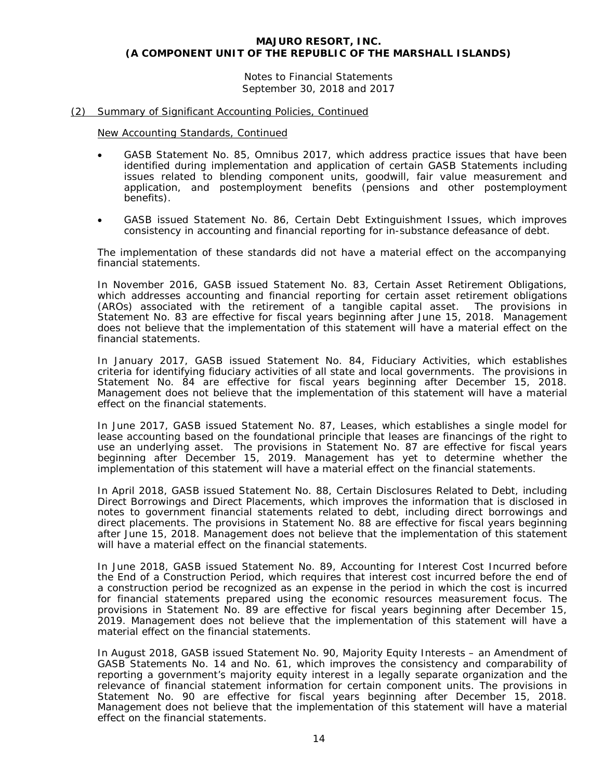Notes to Financial Statements September 30, 2018 and 2017

#### (2) Summary of Significant Accounting Policies, Continued

New Accounting Standards, Continued

- GASB Statement No. 85, *Omnibus 2017*, which address practice issues that have been identified during implementation and application of certain GASB Statements including issues related to blending component units, goodwill, fair value measurement and application, and postemployment benefits (pensions and other postemployment benefits).
- GASB issued Statement No. 86, *Certain Debt Extinguishment Issues*, which improves consistency in accounting and financial reporting for in-substance defeasance of debt.

The implementation of these standards did not have a material effect on the accompanying financial statements.

In November 2016, GASB issued Statement No. 83, *Certain Asset Retirement Obligations*, which addresses accounting and financial reporting for certain asset retirement obligations (AROs) associated with the retirement of a tangible capital asset. The provisions in Statement No. 83 are effective for fiscal years beginning after June 15, 2018. Management does not believe that the implementation of this statement will have a material effect on the financial statements.

In January 2017, GASB issued Statement No. 84, *Fiduciary Activities*, which establishes criteria for identifying fiduciary activities of all state and local governments. The provisions in Statement No. 84 are effective for fiscal years beginning after December 15, 2018. Management does not believe that the implementation of this statement will have a material effect on the financial statements.

In June 2017, GASB issued Statement No. 87, *Leases*, which establishes a single model for lease accounting based on the foundational principle that leases are financings of the right to use an underlying asset. The provisions in Statement No. 87 are effective for fiscal years beginning after December 15, 2019. Management has yet to determine whether the implementation of this statement will have a material effect on the financial statements.

In April 2018, GASB issued Statement No. 88, *Certain Disclosures Related to Debt, including Direct Borrowings and Direct Placements*, which improves the information that is disclosed in notes to government financial statements related to debt, including direct borrowings and direct placements. The provisions in Statement No. 88 are effective for fiscal years beginning after June 15, 2018. Management does not believe that the implementation of this statement will have a material effect on the financial statements.

In June 2018, GASB issued Statement No. 89, *Accounting for Interest Cost Incurred before the End of a Construction Period*, which requires that interest cost incurred before the end of a construction period be recognized as an expense in the period in which the cost is incurred for financial statements prepared using the economic resources measurement focus. The provisions in Statement No. 89 are effective for fiscal years beginning after December 15, 2019. Management does not believe that the implementation of this statement will have a material effect on the financial statements.

In August 2018, GASB issued Statement No. 90, *Majority Equity Interests – an Amendment of GASB Statements No. 14 and No. 61,* which improves the consistency and comparability of reporting a government's majority equity interest in a legally separate organization and the relevance of financial statement information for certain component units. The provisions in Statement No. 90 are effective for fiscal years beginning after December 15, 2018. Management does not believe that the implementation of this statement will have a material effect on the financial statements.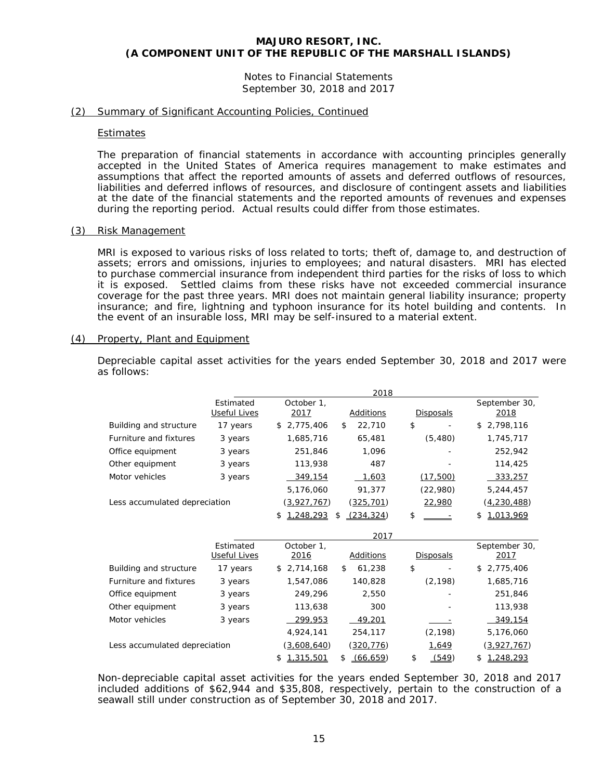Notes to Financial Statements September 30, 2018 and 2017

#### (2) Summary of Significant Accounting Policies, Continued

#### Estimates

The preparation of financial statements in accordance with accounting principles generally accepted in the United States of America requires management to make estimates and assumptions that affect the reported amounts of assets and deferred outflows of resources, liabilities and deferred inflows of resources, and disclosure of contingent assets and liabilities at the date of the financial statements and the reported amounts of revenues and expenses during the reporting period. Actual results could differ from those estimates.

#### (3) Risk Management

MRI is exposed to various risks of loss related to torts; theft of, damage to, and destruction of assets; errors and omissions, injuries to employees; and natural disasters. MRI has elected to purchase commercial insurance from independent third parties for the risks of loss to which it is exposed. Settled claims from these risks have not exceeded commercial insurance coverage for the past three years. MRI does not maintain general liability insurance; property insurance; and fire, lightning and typhoon insurance for its hotel building and contents. In the event of an insurable loss, MRI may be self-insured to a material extent.

#### (4) Property, Plant and Equipment

Depreciable capital asset activities for the years ended September 30, 2018 and 2017 were as follows:

|                               |                           |                    | 2018             |                  |                       |
|-------------------------------|---------------------------|--------------------|------------------|------------------|-----------------------|
|                               | Estimated<br>Useful Lives | October 1,<br>2017 | Additions        | <b>Disposals</b> | September 30,<br>2018 |
| Building and structure        | 17 years                  | 2,775,406<br>\$    | \$<br>22,710     | \$               | 2,798,116<br>\$       |
| Furniture and fixtures        | 3 years                   | 1,685,716          | 65,481           | (5,480)          | 1,745,717             |
| Office equipment              | 3 years                   | 251,846            | 1,096            |                  | 252,942               |
| Other equipment               | 3 years                   | 113,938            | 487              |                  | 114,425               |
| Motor vehicles                | 3 years                   | 349,154            | 1,603            | (17,500)         | 333,257               |
|                               |                           | 5,176,060          | 91,377           | (22,980)         | 5,244,457             |
| Less accumulated depreciation |                           | (3,927,767)        | <u>(325,701)</u> | 22,980           | <u>(4,230,488)</u>    |
|                               |                           | 1,248,293<br>\$    | (234, 324)<br>\$ | \$               | 1,013,969<br>\$       |
|                               |                           |                    | 2017             |                  |                       |
|                               | Estimated                 | October 1.         |                  |                  | September 30,         |
|                               | Useful Lives              | 2016               | Additions        | <b>Disposals</b> | 2017                  |
| Building and structure        | 17 years                  | 2,714,168<br>\$.   | 61,238<br>\$     | \$               | 2,775,406<br>S        |
| Furniture and fixtures        | 3 years                   | 1,547,086          | 140,828          | (2, 198)         | 1,685,716             |
| Office equipment              | 3 years                   | 249,296            | 2,550            |                  | 251,846               |
| Other equipment               | 3 years                   | 113,638            | 300              |                  | 113,938               |
| Motor vehicles                | 3 years                   | 299,953            | 49,201           |                  | 349,154               |
|                               |                           | 4,924,141          | 254,117          | (2, 198)         | 5,176,060             |
| Less accumulated depreciation |                           | (3,608,640)        | (320, 776)       | 1,649            | (3,927,767)           |
|                               |                           | 1,315,501<br>\$    | \$<br>(66, 659)  | \$<br>(549)      | 1,248,293<br>\$       |

Non-depreciable capital asset activities for the years ended September 30, 2018 and 2017 included additions of \$62,944 and \$35,808, respectively, pertain to the construction of a seawall still under construction as of September 30, 2018 and 2017.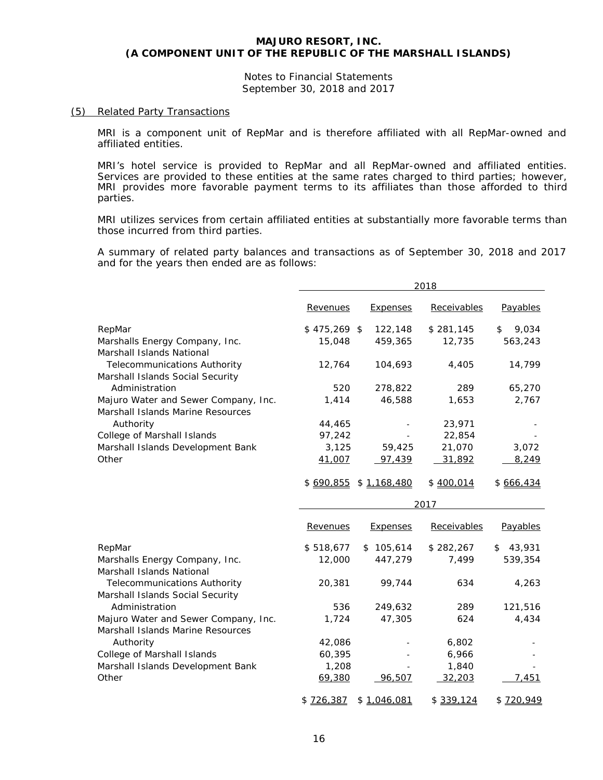Notes to Financial Statements September 30, 2018 and 2017

#### (5) Related Party Transactions

MRI is a component unit of RepMar and is therefore affiliated with all RepMar-owned and affiliated entities.

MRI's hotel service is provided to RepMar and all RepMar-owned and affiliated entities. Services are provided to these entities at the same rates charged to third parties; however, MRI provides more favorable payment terms to its affiliates than those afforded to third parties.

MRI utilizes services from certain affiliated entities at substantially more favorable terms than those incurred from third parties.

A summary of related party balances and transactions as of September 30, 2018 and 2017 and for the years then ended are as follows:

|                                                                           |                   |                 | 2018        |              |
|---------------------------------------------------------------------------|-------------------|-----------------|-------------|--------------|
|                                                                           | Revenues          | <b>Expenses</b> | Receivables | Payables     |
| RepMar                                                                    | $$475,269$ \$     | 122,148         | \$281,145   | 9,034<br>\$  |
| Marshalls Energy Company, Inc.                                            | 15,048            | 459,365         | 12,735      | 563,243      |
| Marshall Islands National                                                 |                   |                 |             |              |
| <b>Telecommunications Authority</b>                                       | 12,764            | 104,693         | 4,405       | 14,799       |
| Marshall Islands Social Security                                          |                   |                 |             |              |
| Administration                                                            | 520               | 278,822         | 289         | 65,270       |
| Majuro Water and Sewer Company, Inc.<br>Marshall Islands Marine Resources | 1,414             | 46,588          | 1,653       | 2,767        |
| Authority                                                                 | 44,465            |                 | 23,971      |              |
| College of Marshall Islands                                               | 97,242            |                 | 22,854      |              |
| Marshall Islands Development Bank                                         | 3,125             | 59,425          | 21,070      | 3,072        |
| Other                                                                     | 41,007            | 97,439          | 31,892      | 8,249        |
|                                                                           | \$ <u>690,855</u> | \$1,168,480     | \$400,014   | \$666,434    |
|                                                                           |                   |                 | 2017        |              |
|                                                                           | Revenues          | <b>Expenses</b> | Receivables | Payables     |
| RepMar                                                                    | \$518,677         | \$105,614       | \$282,267   | 43,931<br>\$ |
| Marshalls Energy Company, Inc.<br>Marshall Islands National               | 12,000            | 447,279         | 7,499       | 539,354      |
| Telecommunications Authority<br>Marshall Islands Social Security          | 20,381            | 99,744          | 634         | 4,263        |
| Administration                                                            | 536               | 249,632         | 289         | 121,516      |
| Majuro Water and Sewer Company, Inc.<br>Marshall Islands Marine Resources | 1,724             | 47,305          | 624         | 4,434        |
| Authority                                                                 | 42,086            |                 | 6,802       |              |
| College of Marshall Islands                                               | 60,395            |                 | 6,966       |              |
| Marshall Islands Development Bank                                         | 1,208             |                 | 1,840       |              |
| Other                                                                     | 69,380            | 96,507          | 32,203      | 7,451        |
|                                                                           | \$726,387         | \$1,046,081     | \$339,124   | \$720,949    |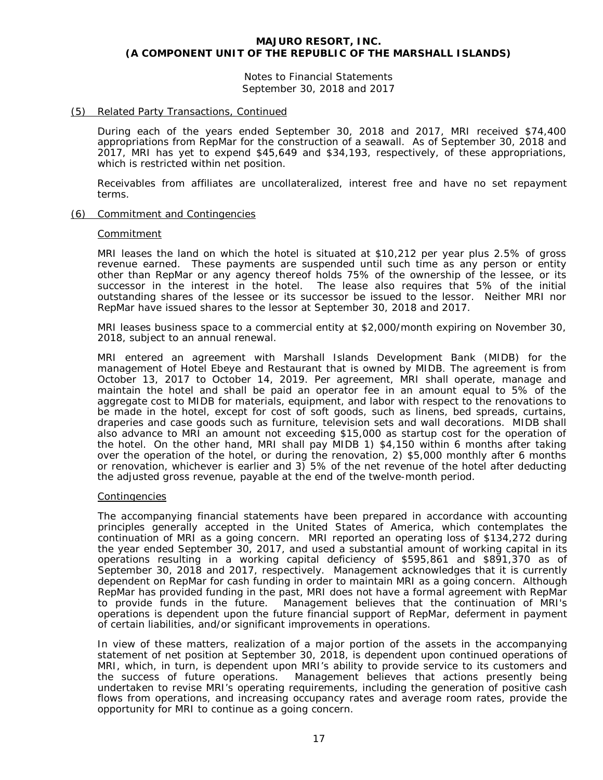Notes to Financial Statements September 30, 2018 and 2017

#### (5) Related Party Transactions, Continued

During each of the years ended September 30, 2018 and 2017, MRI received \$74,400 appropriations from RepMar for the construction of a seawall. As of September 30, 2018 and 2017, MRI has yet to expend \$45,649 and \$34,193, respectively, of these appropriations, which is restricted within net position.

Receivables from affiliates are uncollateralized, interest free and have no set repayment terms.

#### (6) Commitment and Contingencies

#### Commitment

MRI leases the land on which the hotel is situated at \$10,212 per year plus 2.5% of gross revenue earned. These payments are suspended until such time as any person or entity other than RepMar or any agency thereof holds 75% of the ownership of the lessee, or its successor in the interest in the hotel. The lease also requires that 5% of the initial outstanding shares of the lessee or its successor be issued to the lessor. Neither MRI nor RepMar have issued shares to the lessor at September 30, 2018 and 2017.

MRI leases business space to a commercial entity at \$2,000/month expiring on November 30, 2018, subject to an annual renewal.

MRI entered an agreement with Marshall Islands Development Bank (MIDB) for the management of Hotel Ebeye and Restaurant that is owned by MIDB. The agreement is from October 13, 2017 to October 14, 2019. Per agreement, MRI shall operate, manage and maintain the hotel and shall be paid an operator fee in an amount equal to 5% of the aggregate cost to MIDB for materials, equipment, and labor with respect to the renovations to be made in the hotel, except for cost of soft goods, such as linens, bed spreads, curtains, draperies and case goods such as furniture, television sets and wall decorations. MIDB shall also advance to MRI an amount not exceeding \$15,000 as startup cost for the operation of the hotel. On the other hand, MRI shall pay MIDB 1) \$4,150 within 6 months after taking over the operation of the hotel, or during the renovation, 2) \$5,000 monthly after 6 months or renovation, whichever is earlier and 3) 5% of the net revenue of the hotel after deducting the adjusted gross revenue, payable at the end of the twelve-month period.

#### Contingencies

The accompanying financial statements have been prepared in accordance with accounting principles generally accepted in the United States of America, which contemplates the continuation of MRI as a going concern. MRI reported an operating loss of \$134,272 during the year ended September 30, 2017, and used a substantial amount of working capital in its operations resulting in a working capital deficiency of \$595,861 and \$891,370 as of September 30, 2018 and 2017, respectively. Management acknowledges that it is currently dependent on RepMar for cash funding in order to maintain MRI as a going concern. Although RepMar has provided funding in the past, MRI does not have a formal agreement with RepMar to provide funds in the future. Management believes that the continuation of MRI's operations is dependent upon the future financial support of RepMar, deferment in payment of certain liabilities, and/or significant improvements in operations.

In view of these matters, realization of a major portion of the assets in the accompanying statement of net position at September 30, 2018, is dependent upon continued operations of MRI, which, in turn, is dependent upon MRI's ability to provide service to its customers and the success of future operations. Management believes that actions presently being undertaken to revise MRI's operating requirements, including the generation of positive cash flows from operations, and increasing occupancy rates and average room rates, provide the opportunity for MRI to continue as a going concern.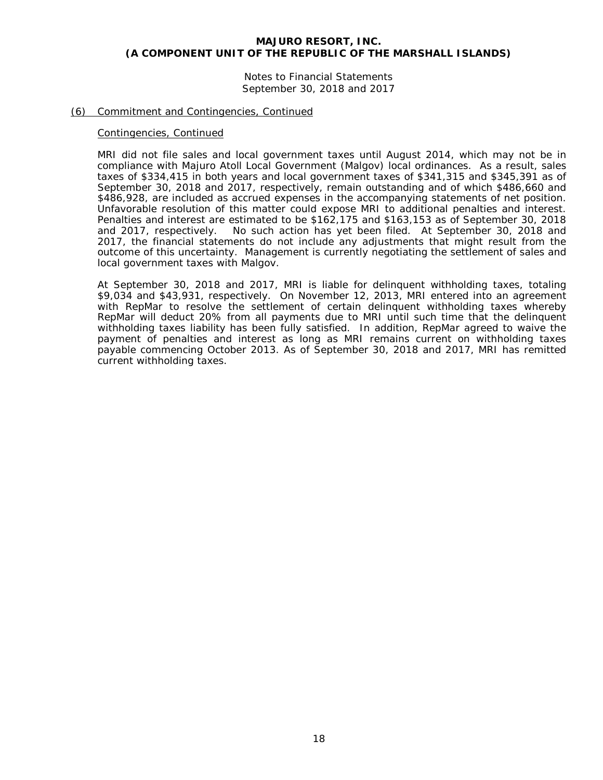Notes to Financial Statements September 30, 2018 and 2017

#### (6) Commitment and Contingencies, Continued

#### Contingencies, Continued

MRI did not file sales and local government taxes until August 2014, which may not be in compliance with Majuro Atoll Local Government (Malgov) local ordinances. As a result, sales taxes of \$334,415 in both years and local government taxes of \$341,315 and \$345,391 as of September 30, 2018 and 2017, respectively, remain outstanding and of which \$486,660 and \$486,928, are included as accrued expenses in the accompanying statements of net position. Unfavorable resolution of this matter could expose MRI to additional penalties and interest. Penalties and interest are estimated to be \$162,175 and \$163,153 as of September 30, 2018 and 2017, respectively. No such action has yet been filed. At September 30, 2018 and 2017, the financial statements do not include any adjustments that might result from the outcome of this uncertainty. Management is currently negotiating the settlement of sales and local government taxes with Malgov.

At September 30, 2018 and 2017, MRI is liable for delinquent withholding taxes, totaling \$9,034 and \$43,931, respectively. On November 12, 2013, MRI entered into an agreement with RepMar to resolve the settlement of certain delinquent withholding taxes whereby RepMar will deduct 20% from all payments due to MRI until such time that the delinquent withholding taxes liability has been fully satisfied. In addition, RepMar agreed to waive the payment of penalties and interest as long as MRI remains current on withholding taxes payable commencing October 2013. As of September 30, 2018 and 2017, MRI has remitted current withholding taxes.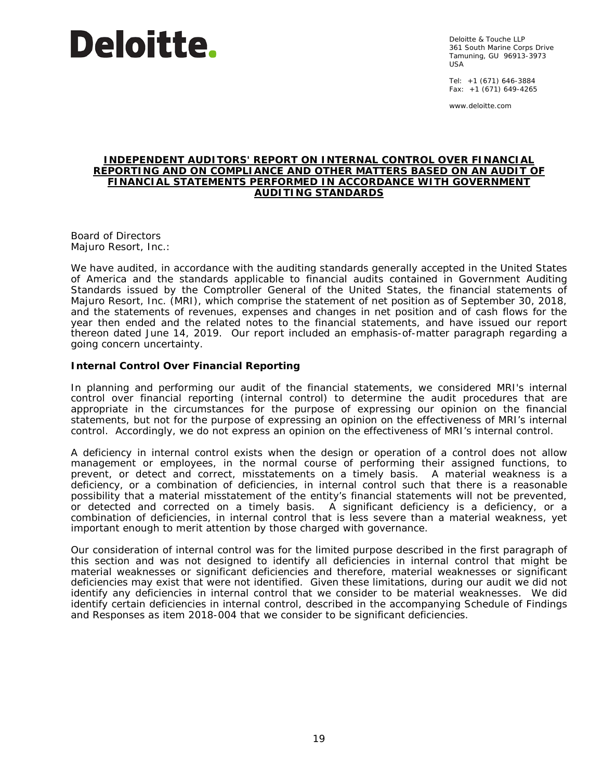

Deloitte & Touche LLP 361 South Marine Corps Drive Tamuning, GU 96913-3973  $IISA$ 

Tel: +1 (671) 646-3884 Fax:  $+1$  (671) 649-4265

www.deloitte.com

#### **INDEPENDENT AUDITORS' REPORT ON INTERNAL CONTROL OVER FINANCIAL REPORTING AND ON COMPLIANCE AND OTHER MATTERS BASED ON AN AUDIT OF FINANCIAL STATEMENTS PERFORMED IN ACCORDANCE WITH** *GOVERNMENT AUDITING STANDARDS*

Board of Directors Majuro Resort, Inc.:

We have audited, in accordance with the auditing standards generally accepted in the United States of America and the standards applicable to financial audits contained in *Government Auditing Standards* issued by the Comptroller General of the United States, the financial statements of Majuro Resort, Inc. (MRI), which comprise the statement of net position as of September 30, 2018, and the statements of revenues, expenses and changes in net position and of cash flows for the year then ended and the related notes to the financial statements, and have issued our report thereon dated June 14, 2019. Our report included an emphasis-of-matter paragraph regarding a going concern uncertainty.

# **Internal Control Over Financial Reporting**

In planning and performing our audit of the financial statements, we considered MRI's internal control over financial reporting (internal control) to determine the audit procedures that are appropriate in the circumstances for the purpose of expressing our opinion on the financial statements, but not for the purpose of expressing an opinion on the effectiveness of MRI's internal control. Accordingly, we do not express an opinion on the effectiveness of MRI's internal control.

A *deficiency in internal control* exists when the design or operation of a control does not allow management or employees, in the normal course of performing their assigned functions, to prevent, or detect and correct, misstatements on a timely basis. A *material weakness* is a deficiency, or a combination of deficiencies, in internal control such that there is a reasonable possibility that a material misstatement of the entity's financial statements will not be prevented, or detected and corrected on a timely basis. A *significant deficiency* is a deficiency, or a combination of deficiencies, in internal control that is less severe than a material weakness, yet important enough to merit attention by those charged with governance.

Our consideration of internal control was for the limited purpose described in the first paragraph of this section and was not designed to identify all deficiencies in internal control that might be material weaknesses or significant deficiencies and therefore, material weaknesses or significant deficiencies may exist that were not identified. Given these limitations, during our audit we did not identify any deficiencies in internal control that we consider to be material weaknesses. We did identify certain deficiencies in internal control, described in the accompanying Schedule of Findings and Responses as item 2018-004 that we consider to be significant deficiencies.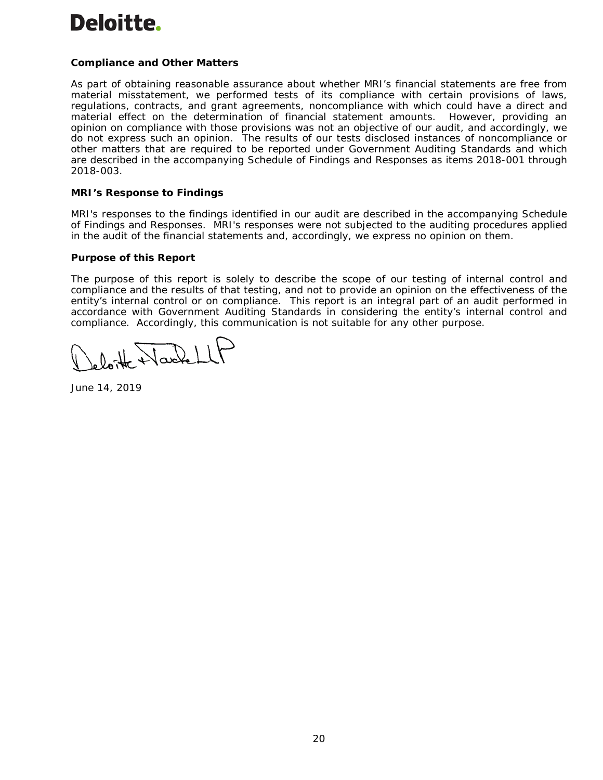# Deloitte.

# **Compliance and Other Matters**

As part of obtaining reasonable assurance about whether MRI's financial statements are free from material misstatement, we performed tests of its compliance with certain provisions of laws, regulations, contracts, and grant agreements, noncompliance with which could have a direct and material effect on the determination of financial statement amounts. However, providing an opinion on compliance with those provisions was not an objective of our audit, and accordingly, we do not express such an opinion. The results of our tests disclosed instances of noncompliance or other matters that are required to be reported under *Government Auditing Standards* and which are described in the accompanying Schedule of Findings and Responses as items 2018-001 through 2018-003.

# **MRI's Response to Findings**

MRI's responses to the findings identified in our audit are described in the accompanying Schedule of Findings and Responses. MRI's responses were not subjected to the auditing procedures applied in the audit of the financial statements and, accordingly, we express no opinion on them.

# **Purpose of this Report**

The purpose of this report is solely to describe the scope of our testing of internal control and compliance and the results of that testing, and not to provide an opinion on the effectiveness of the entity's internal control or on compliance. This report is an integral part of an audit performed in accordance with *Government Auditing Standards* in considering the entity's internal control and compliance. Accordingly, this communication is not suitable for any other purpose.

 $\sqrt{d^2 + 1}$ 

June 14, 2019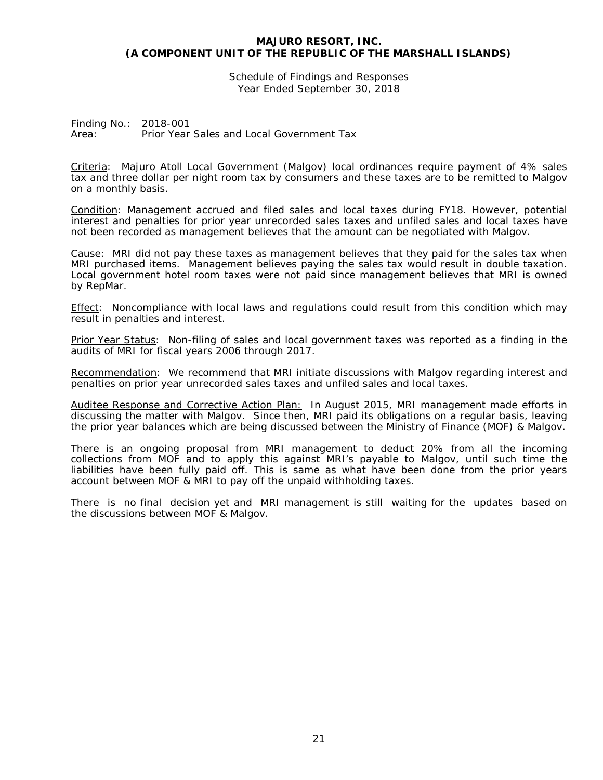Schedule of Findings and Responses Year Ended September 30, 2018

Finding No.: 2018-001 Area: Prior Year Sales and Local Government Tax

Criteria: Majuro Atoll Local Government (Malgov) local ordinances require payment of 4% sales tax and three dollar per night room tax by consumers and these taxes are to be remitted to Malgov on a monthly basis.

Condition: Management accrued and filed sales and local taxes during FY18. However, potential interest and penalties for prior year unrecorded sales taxes and unfiled sales and local taxes have not been recorded as management believes that the amount can be negotiated with Malgov.

Cause: MRI did not pay these taxes as management believes that they paid for the sales tax when MRI purchased items. Management believes paying the sales tax would result in double taxation. Local government hotel room taxes were not paid since management believes that MRI is owned by RepMar.

Effect: Noncompliance with local laws and regulations could result from this condition which may result in penalties and interest.

Prior Year Status: Non-filing of sales and local government taxes was reported as a finding in the audits of MRI for fiscal years 2006 through 2017.

Recommendation: We recommend that MRI initiate discussions with Malgov regarding interest and penalties on prior year unrecorded sales taxes and unfiled sales and local taxes.

Auditee Response and Corrective Action Plan: In August 2015, MRI management made efforts in discussing the matter with Malgov. Since then, MRI paid its obligations on a regular basis, leaving the prior year balances which are being discussed between the Ministry of Finance (MOF) & Malgov.

There is an ongoing proposal from MRI management to deduct 20% from all the incoming collections from MOF and to apply this against MRI's payable to Malgov, until such time the liabilities have been fully paid off. This is same as what have been done from the prior years account between MOF & MRI to pay off the unpaid withholding taxes.

There is no final decision yet and MRI management is still waiting for the updates based on the discussions between MOF & Malgov.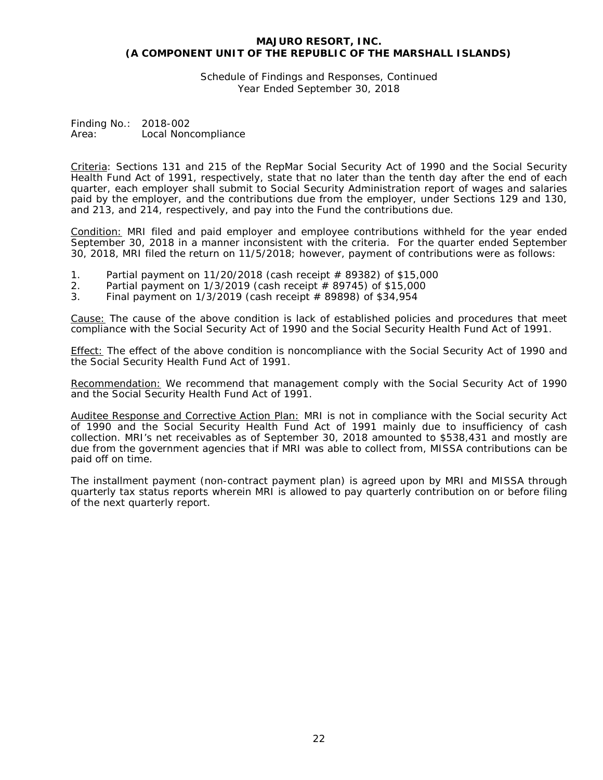Schedule of Findings and Responses, Continued Year Ended September 30, 2018

Finding No.: 2018-002 Area: Local Noncompliance

Criteria: Sections 131 and 215 of the RepMar Social Security Act of 1990 and the Social Security Health Fund Act of 1991, respectively, state that no later than the tenth day after the end of each quarter, each employer shall submit to Social Security Administration report of wages and salaries paid by the employer, and the contributions due from the employer, under Sections 129 and 130, and 213, and 214, respectively, and pay into the Fund the contributions due.

Condition: MRI filed and paid employer and employee contributions withheld for the year ended September 30, 2018 in a manner inconsistent with the criteria. For the quarter ended September 30, 2018, MRI filed the return on 11/5/2018; however, payment of contributions were as follows:

- 1. Partial payment on 11/20/2018 (cash receipt  $\#$  89382) of \$15,000<br>2. Partial payment on 1/3/2019 (cash receipt  $\#$  89745) of \$15,000
- Partial payment on  $1/3/2019$  (cash receipt  $\#$  89745) of \$15,000
- 3. Final payment on 1/3/2019 (cash receipt # 89898) of \$34,954

Cause: The cause of the above condition is lack of established policies and procedures that meet compliance with the Social Security Act of 1990 and the Social Security Health Fund Act of 1991.

Effect: The effect of the above condition is noncompliance with the Social Security Act of 1990 and the Social Security Health Fund Act of 1991.

Recommendation: We recommend that management comply with the Social Security Act of 1990 and the Social Security Health Fund Act of 1991.

Auditee Response and Corrective Action Plan: MRI is not in compliance with the Social security Act of 1990 and the Social Security Health Fund Act of 1991 mainly due to insufficiency of cash collection. MRI's net receivables as of September 30, 2018 amounted to \$538,431 and mostly are due from the government agencies that if MRI was able to collect from, MISSA contributions can be paid off on time.

The installment payment (non-contract payment plan) is agreed upon by MRI and MISSA through quarterly tax status reports wherein MRI is allowed to pay quarterly contribution on or before filing of the next quarterly report.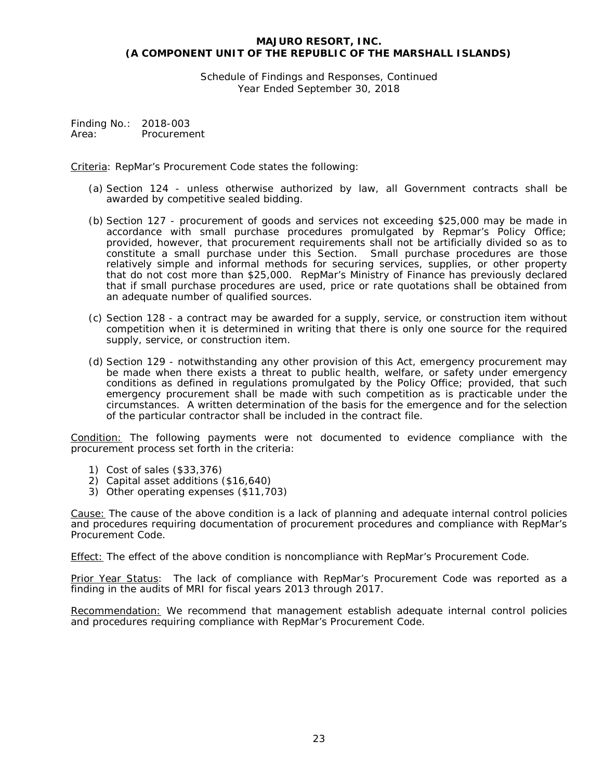Schedule of Findings and Responses, Continued Year Ended September 30, 2018

Finding No.: 2018-003 Area: Procurement

Criteria: RepMar's Procurement Code states the following:

- (a) Section 124 unless otherwise authorized by law, all Government contracts shall be awarded by competitive sealed bidding.
- (b) Section 127 procurement of goods and services not exceeding \$25,000 may be made in accordance with small purchase procedures promulgated by Repmar's Policy Office; provided, however, that procurement requirements shall not be artificially divided so as to constitute a small purchase under this Section. Small purchase procedures are those relatively simple and informal methods for securing services, supplies, or other property that do not cost more than \$25,000. RepMar's Ministry of Finance has previously declared that if small purchase procedures are used, price or rate quotations shall be obtained from an adequate number of qualified sources.
- (c) Section 128 a contract may be awarded for a supply, service, or construction item without competition when it is determined in writing that there is only one source for the required supply, service, or construction item.
- (d) Section 129 notwithstanding any other provision of this Act, emergency procurement may be made when there exists a threat to public health, welfare, or safety under emergency conditions as defined in regulations promulgated by the Policy Office; provided, that such emergency procurement shall be made with such competition as is practicable under the circumstances. A written determination of the basis for the emergence and for the selection of the particular contractor shall be included in the contract file.

Condition: The following payments were not documented to evidence compliance with the procurement process set forth in the criteria:

- 1) Cost of sales (\$33,376)
- 2) Capital asset additions (\$16,640)
- 3) Other operating expenses (\$11,703)

Cause: The cause of the above condition is a lack of planning and adequate internal control policies and procedures requiring documentation of procurement procedures and compliance with RepMar's Procurement Code.

Effect: The effect of the above condition is noncompliance with RepMar's Procurement Code.

Prior Year Status: The lack of compliance with RepMar's Procurement Code was reported as a finding in the audits of MRI for fiscal years 2013 through 2017.

Recommendation: We recommend that management establish adequate internal control policies and procedures requiring compliance with RepMar's Procurement Code.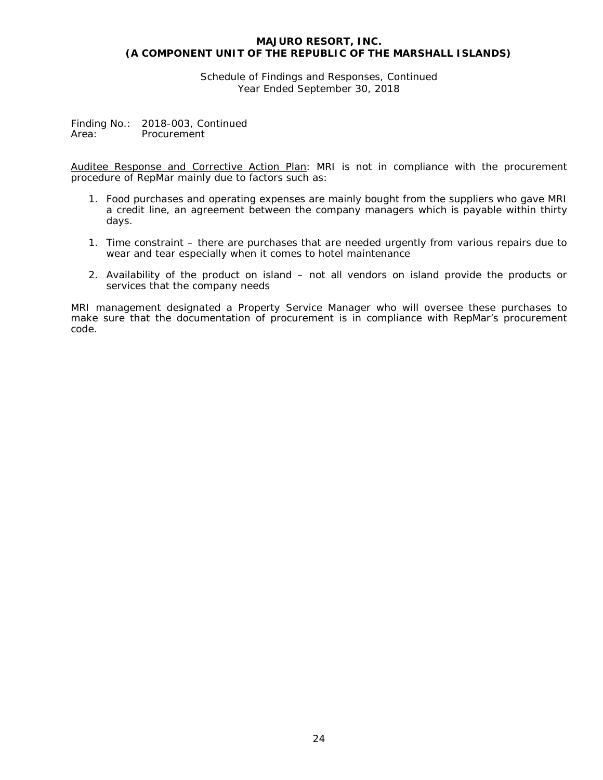Schedule of Findings and Responses, Continued Year Ended September 30, 2018

Finding No.: 2018-003, Continued<br>Area: Procurement **Procurement** 

Auditee Response and Corrective Action Plan: MRI is not in compliance with the procurement procedure of RepMar mainly due to factors such as:

- 1. Food purchases and operating expenses are mainly bought from the suppliers who gave MRI a credit line, an agreement between the company managers which is payable within thirty days.
- 1. Time constraint there are purchases that are needed urgently from various repairs due to wear and tear especially when it comes to hotel maintenance
- 2. Availability of the product on island not all vendors on island provide the products or services that the company needs

MRI management designated a Property Service Manager who will oversee these purchases to make sure that the documentation of procurement is in compliance with RepMar's procurement code.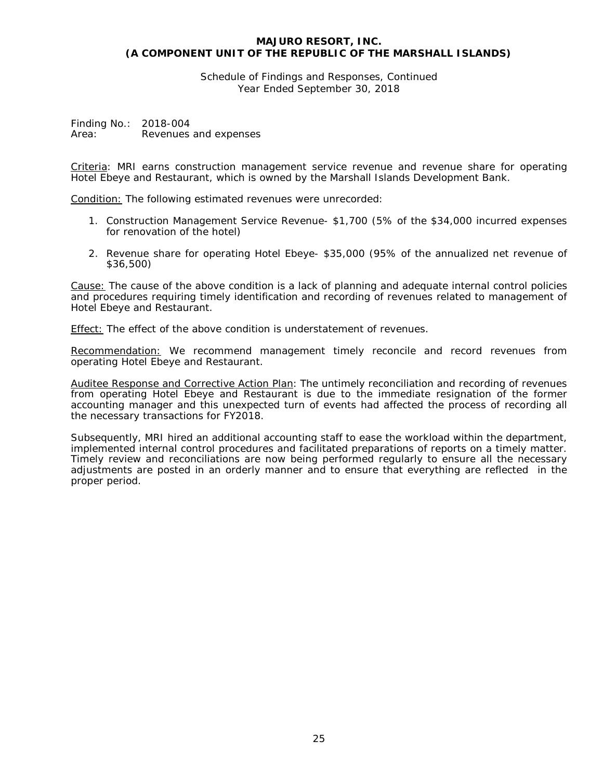Schedule of Findings and Responses, Continued Year Ended September 30, 2018

Finding No.: 2018-004 Area: Revenues and expenses

Criteria: MRI earns construction management service revenue and revenue share for operating Hotel Ebeye and Restaurant, which is owned by the Marshall Islands Development Bank.

Condition: The following estimated revenues were unrecorded:

- 1. Construction Management Service Revenue- \$1,700 (5% of the \$34,000 incurred expenses for renovation of the hotel)
- 2. Revenue share for operating Hotel Ebeye- \$35,000 (95% of the annualized net revenue of \$36,500)

Cause: The cause of the above condition is a lack of planning and adequate internal control policies and procedures requiring timely identification and recording of revenues related to management of Hotel Ebeye and Restaurant.

Effect: The effect of the above condition is understatement of revenues.

Recommendation: We recommend management timely reconcile and record revenues from operating Hotel Ebeye and Restaurant.

Auditee Response and Corrective Action Plan: The untimely reconciliation and recording of revenues from operating Hotel Ebeye and Restaurant is due to the immediate resignation of the former accounting manager and this unexpected turn of events had affected the process of recording all the necessary transactions for FY2018.

Subsequently, MRI hired an additional accounting staff to ease the workload within the department, implemented internal control procedures and facilitated preparations of reports on a timely matter. Timely review and reconciliations are now being performed regularly to ensure all the necessary adjustments are posted in an orderly manner and to ensure that everything are reflected in the proper period.